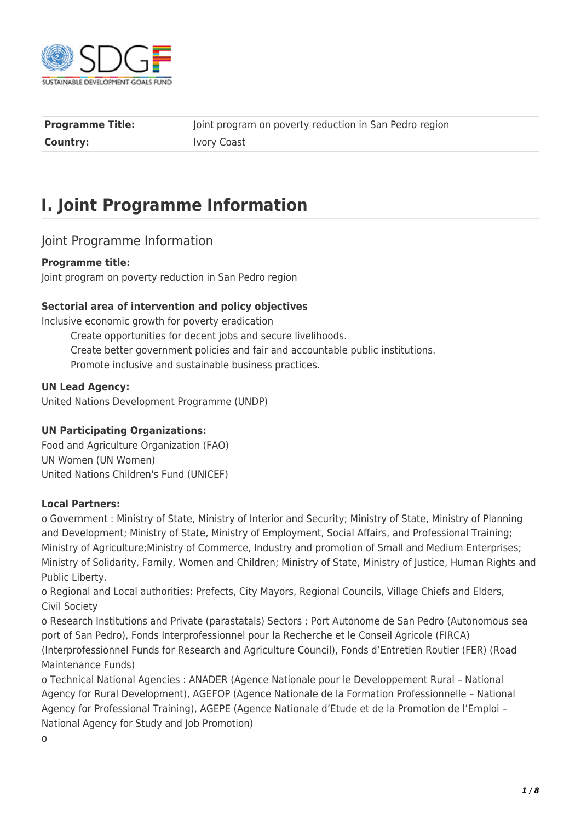

| <b>Programme Title:</b> | Joint program on poverty reduction in San Pedro region |
|-------------------------|--------------------------------------------------------|
| <b>Country:</b>         | <b>Ivory Coast</b>                                     |

# **I. Joint Programme Information**

### Joint Programme Information

### **Programme title:**

Joint program on poverty reduction in San Pedro region

### **Sectorial area of intervention and policy objectives**

Inclusive economic growth for poverty eradication

Create opportunities for decent jobs and secure livelihoods. Create better government policies and fair and accountable public institutions. Promote inclusive and sustainable business practices.

### **UN Lead Agency:**

United Nations Development Programme (UNDP)

### **UN Participating Organizations:**

Food and Agriculture Organization (FAO) UN Women (UN Women) United Nations Children's Fund (UNICEF)

### **Local Partners:**

o Government : Ministry of State, Ministry of Interior and Security; Ministry of State, Ministry of Planning and Development; Ministry of State, Ministry of Employment, Social Affairs, and Professional Training; Ministry of Agriculture;Ministry of Commerce, Industry and promotion of Small and Medium Enterprises; Ministry of Solidarity, Family, Women and Children; Ministry of State, Ministry of Justice, Human Rights and Public Liberty.

o Regional and Local authorities: Prefects, City Mayors, Regional Councils, Village Chiefs and Elders, Civil Society

o Research Institutions and Private (parastatals) Sectors : Port Autonome de San Pedro (Autonomous sea port of San Pedro), Fonds Interprofessionnel pour la Recherche et le Conseil Agricole (FIRCA) (Interprofessionnel Funds for Research and Agriculture Council), Fonds d'Entretien Routier (FER) (Road Maintenance Funds)

o Technical National Agencies : ANADER (Agence Nationale pour le Developpement Rural – National Agency for Rural Development), AGEFOP (Agence Nationale de la Formation Professionnelle – National Agency for Professional Training), AGEPE (Agence Nationale d'Etude et de la Promotion de l'Emploi – National Agency for Study and Job Promotion)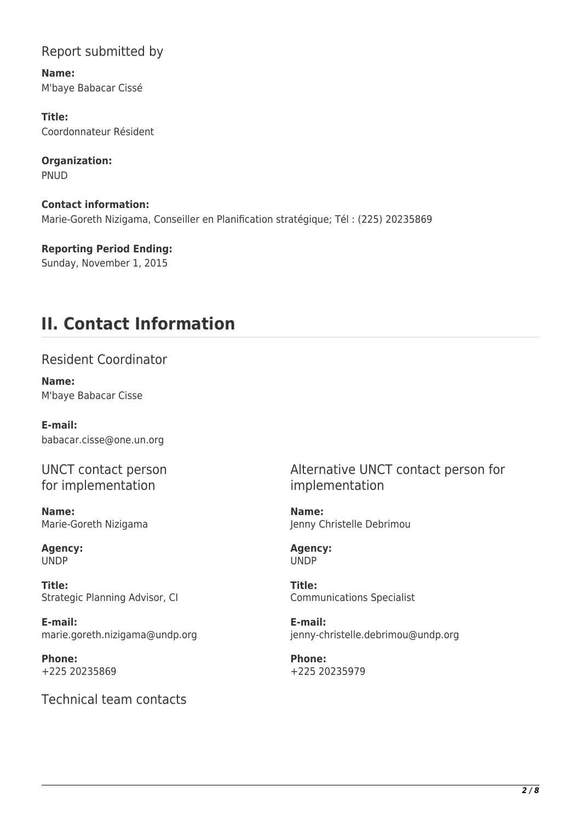## Report submitted by

**Name:**  M'baye Babacar Cissé

**Title:**  Coordonnateur Résident

**Organization:**  PNUD

**Contact information:**  Marie-Goreth Nizigama, Conseiller en Planification stratégique; Tél : (225) 20235869

**Reporting Period Ending:**  Sunday, November 1, 2015

# **II. Contact Information**

## Resident Coordinator

**Name:**  M'baye Babacar Cisse

**E-mail:**  babacar.cisse@one.un.org

UNCT contact person for implementation

**Name:**  Marie-Goreth Nizigama

**Agency:**  UNDP

**Title:**  Strategic Planning Advisor, CI

**E-mail:**  marie.goreth.nizigama@undp.org

**Phone:**  +225 20235869

Technical team contacts

Alternative UNCT contact person for implementation

**Name:**  Jenny Christelle Debrimou

**Agency:**  UNDP

**Title:**  Communications Specialist

**E-mail:**  jenny-christelle.debrimou@undp.org

**Phone:**  +225 20235979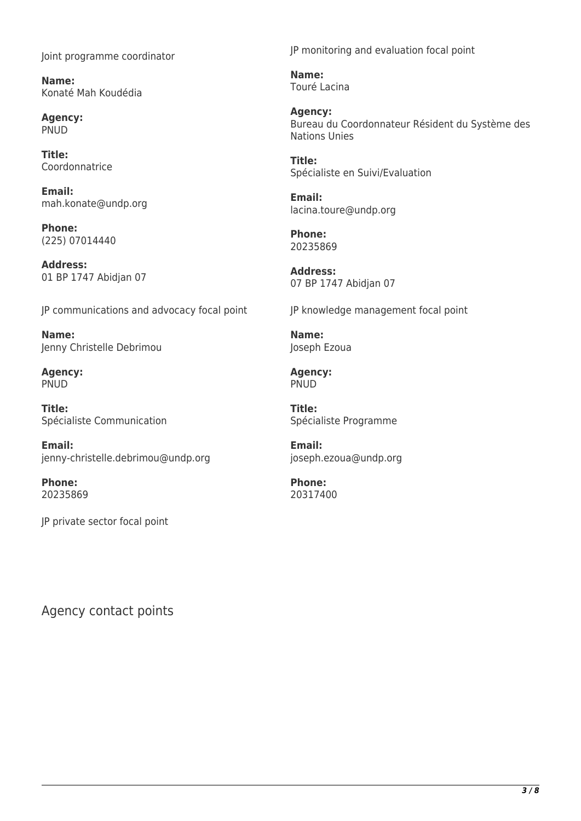Joint programme coordinator

**Name:**  Konaté Mah Koudédia

**Agency:**  PNUD

**Title:**  Coordonnatrice

**Email:**  mah.konate@undp.org

**Phone:**  (225) 07014440

**Address:**  01 BP 1747 Abidjan 07

JP communications and advocacy focal point

**Name:**  Jenny Christelle Debrimou

**Agency: PNUD** 

**Title:**  Spécialiste Communication

**Email:**  jenny-christelle.debrimou@undp.org

**Phone:**  20235869

JP private sector focal point

JP monitoring and evaluation focal point

**Name:**  Touré Lacina

**Agency:**  Bureau du Coordonnateur Résident du Système des Nations Unies

**Title:**  Spécialiste en Suivi/Evaluation

**Email:**  lacina.toure@undp.org

**Phone:**  20235869

**Address:**  07 BP 1747 Abidjan 07

JP knowledge management focal point

**Name:**  Joseph Ezoua

**Agency: PNUD** 

**Title:**  Spécialiste Programme

**Email:**  joseph.ezoua@undp.org

**Phone:**  20317400

Agency contact points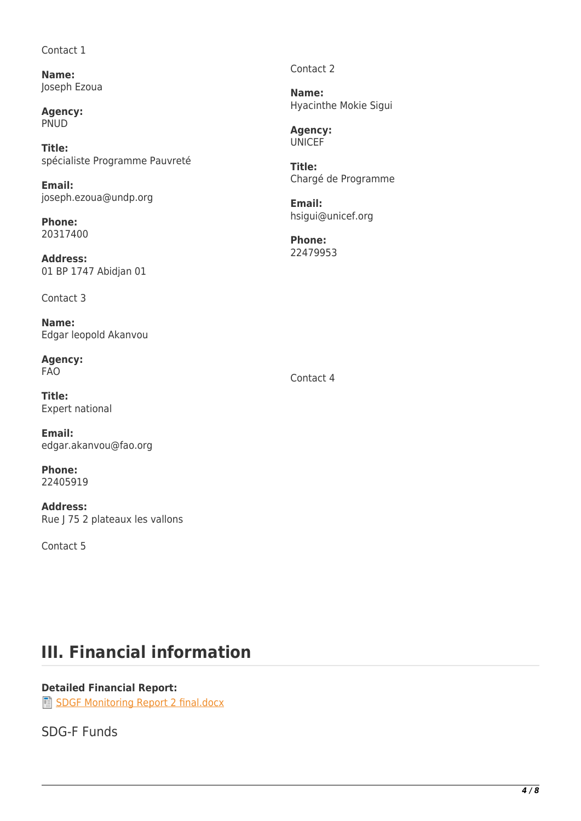#### Contact 1

**Name:**  Joseph Ezoua

**Agency:**  PNUD

**Title:**  spécialiste Programme Pauvreté

**Email:**  joseph.ezoua@undp.org

**Phone:**  20317400

**Address:**  01 BP 1747 Abidjan 01

Contact 3

**Name:**  Edgar leopold Akanvou

**Agency:**  FAO

**Title:**  Expert national

**Email:**  edgar.akanvou@fao.org

**Phone:**  22405919

**Address:**  Rue J 75 2 plateaux les vallons

Contact 5

Contact 2

**Name:**  Hyacinthe Mokie Sigui

**Agency: UNICEF** 

**Title:**  Chargé de Programme

**Email:**  hsigui@unicef.org

**Phone:**  22479953

Contact 4

# **III. Financial information**

### **Detailed Financial Report:**

[SDGF Monitoring Report 2 final.docx](http://proposals.sdgfund.org/system/files/report-attachments/SDGF%20Monitoring%20Report%202%20final.docx)

## SDG-F Funds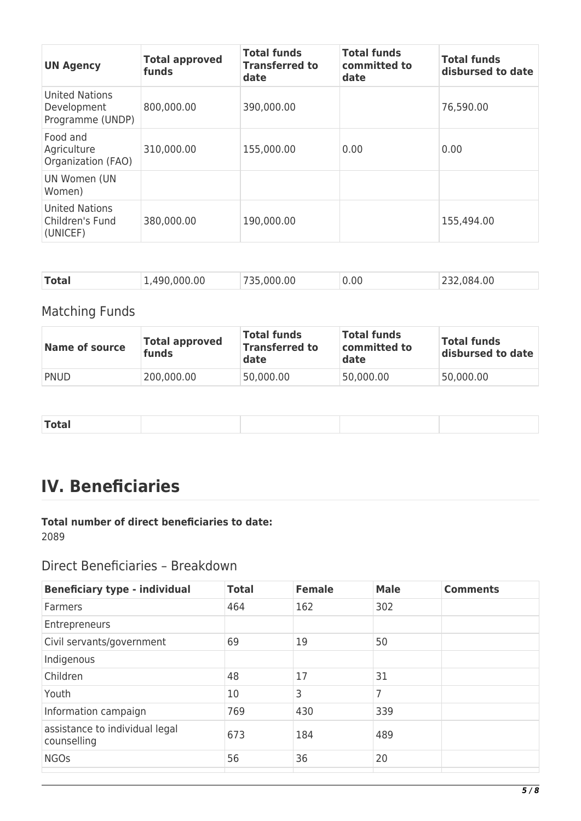| <b>UN Agency</b>                                     | <b>Total approved</b><br>funds | <b>Total funds</b><br><b>Transferred to</b><br>date | <b>Total funds</b><br>committed to<br>date | <b>Total funds</b><br>disbursed to date |
|------------------------------------------------------|--------------------------------|-----------------------------------------------------|--------------------------------------------|-----------------------------------------|
| United Nations<br>Development<br>Programme (UNDP)    | 800,000.00                     | 390,000.00                                          |                                            | 76,590.00                               |
| Food and<br>Agriculture<br>Organization (FAO)        | 310,000.00                     | 155,000.00                                          | 0.00                                       | 0.00                                    |
| UN Women (UN<br>Women)                               |                                |                                                     |                                            |                                         |
| <b>United Nations</b><br>Children's Fund<br>(UNICEF) | 380,000.00                     | 190,000.00                                          |                                            | 155,494.00                              |

| <b>Total</b><br>00.984<br>.490.000.00<br>000.00<br>0.00 |  |
|---------------------------------------------------------|--|
|---------------------------------------------------------|--|

## Matching Funds

| <b>Name of source</b> | <b>Total approved</b><br>funds | <b>Total funds</b><br><b>Transferred to</b><br>date | <b>Total funds</b><br>committed to<br>date | <b>Total funds</b><br>disbursed to date |
|-----------------------|--------------------------------|-----------------------------------------------------|--------------------------------------------|-----------------------------------------|
| <b>PNUD</b>           | 200,000.00                     | 50,000.00                                           | 50,000.00                                  | 50,000.00                               |

| <b>Total</b> |  |  |  |
|--------------|--|--|--|
|              |  |  |  |

# **IV. Beneficiaries**

# **Total number of direct beneficiaries to date:**

2089

## Direct Beneficiaries – Breakdown

| <b>Beneficiary type - individual</b>          | <b>Total</b> | <b>Female</b> | <b>Male</b> | <b>Comments</b> |
|-----------------------------------------------|--------------|---------------|-------------|-----------------|
| Farmers                                       | 464          | 162           | 302         |                 |
| Entrepreneurs                                 |              |               |             |                 |
| Civil servants/government                     | 69           | 19            | 50          |                 |
| Indigenous                                    |              |               |             |                 |
| Children                                      | 48           | 17            | 31          |                 |
| Youth                                         | 10           | 3             | 7           |                 |
| Information campaign                          | 769          | 430           | 339         |                 |
| assistance to individual legal<br>counselling | 673          | 184           | 489         |                 |
| <b>NGOs</b>                                   | 56           | 36            | 20          |                 |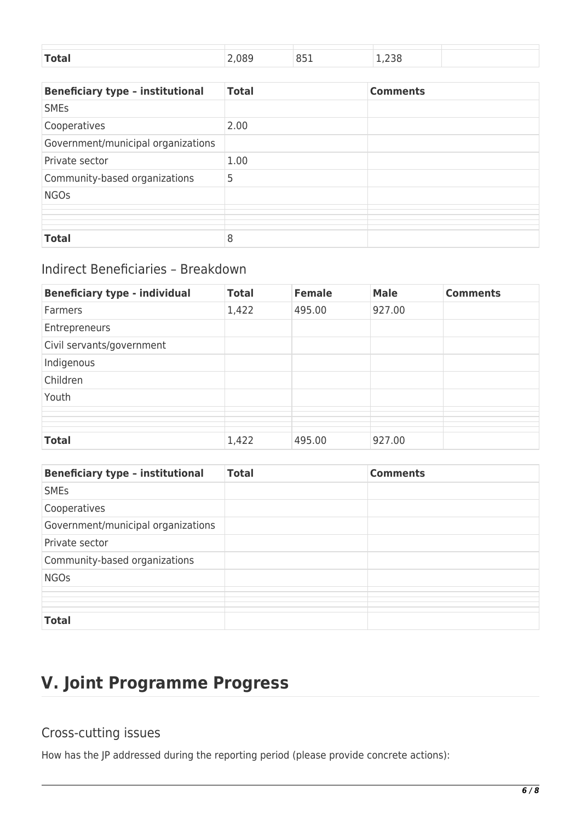| <b>Takes</b><br>$-$ | , סאו | $\cap$<br>. .<br>--- | ___ |  |
|---------------------|-------|----------------------|-----|--|

| <b>Beneficiary type - institutional</b> | <b>Total</b> | <b>Comments</b> |
|-----------------------------------------|--------------|-----------------|
| <b>SME<sub>S</sub></b>                  |              |                 |
| Cooperatives                            | 2.00         |                 |
| Government/municipal organizations      |              |                 |
| Private sector                          | 1.00         |                 |
| Community-based organizations           | 5            |                 |
| <b>NGOs</b>                             |              |                 |
|                                         |              |                 |
| <b>Total</b>                            | 8            |                 |

## Indirect Beneficiaries – Breakdown

| <b>Beneficiary type - individual</b> | <b>Total</b> | <b>Female</b> | <b>Male</b> | <b>Comments</b> |
|--------------------------------------|--------------|---------------|-------------|-----------------|
| <b>Farmers</b>                       | 1,422        | 495.00        | 927.00      |                 |
| Entrepreneurs                        |              |               |             |                 |
| Civil servants/government            |              |               |             |                 |
| Indigenous                           |              |               |             |                 |
| Children                             |              |               |             |                 |
| Youth                                |              |               |             |                 |
|                                      |              |               |             |                 |
| <b>Total</b>                         | 1,422        | 495.00        | 927.00      |                 |

| <b>Beneficiary type - institutional</b> | <b>Total</b> | <b>Comments</b> |
|-----------------------------------------|--------------|-----------------|
| <b>SMEs</b>                             |              |                 |
| Cooperatives                            |              |                 |
| Government/municipal organizations      |              |                 |
| Private sector                          |              |                 |
| Community-based organizations           |              |                 |
| <b>NGOs</b>                             |              |                 |
|                                         |              |                 |
|                                         |              |                 |
| <b>Total</b>                            |              |                 |

# **V. Joint Programme Progress**

## Cross-cutting issues

How has the JP addressed during the reporting period (please provide concrete actions):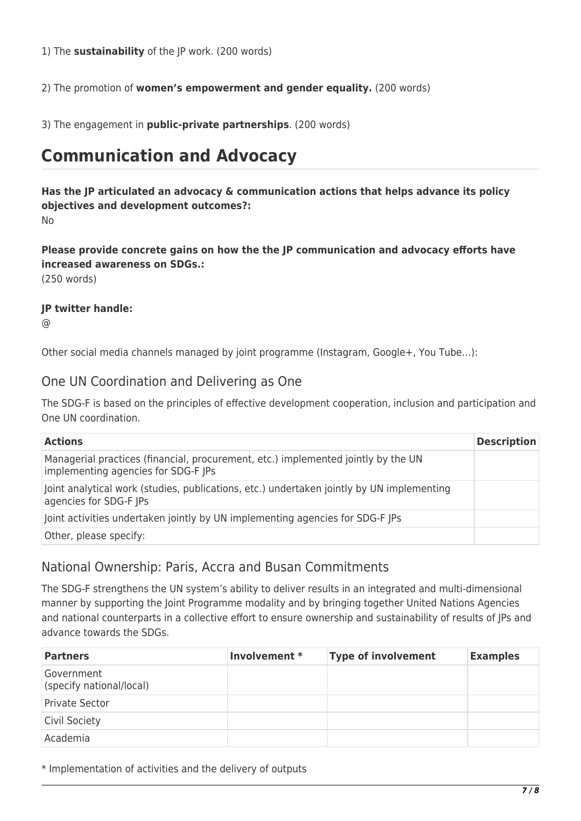1) The **sustainability** of the JP work. (200 words)

2) The promotion of **women's empowerment and gender equality.** (200 words)

3) The engagement in **public-private partnerships**. (200 words)

# **Communication and Advocacy**

**Has the JP articulated an advocacy & communication actions that helps advance its policy objectives and development outcomes?:**  No

**Please provide concrete gains on how the the JP communication and advocacy efforts have increased awareness on SDGs.:** 

(250 words)

### **JP twitter handle:**

 $\omega$ 

Other social media channels managed by joint programme (Instagram, Google+, You Tube…):

### One UN Coordination and Delivering as One

The SDG-F is based on the principles of effective development cooperation, inclusion and participation and One UN coordination.

| <b>Actions</b>                                                                                                           | <b>Description</b> |
|--------------------------------------------------------------------------------------------------------------------------|--------------------|
| Managerial practices (financial, procurement, etc.) implemented jointly by the UN<br>implementing agencies for SDG-F JPs |                    |
| Joint analytical work (studies, publications, etc.) undertaken jointly by UN implementing<br>agencies for SDG-F JPs      |                    |
| Joint activities undertaken jointly by UN implementing agencies for SDG-F JPs                                            |                    |
| Other, please specify:                                                                                                   |                    |

## National Ownership: Paris, Accra and Busan Commitments

The SDG-F strengthens the UN system's ability to deliver results in an integrated and multi-dimensional manner by supporting the Joint Programme modality and by bringing together United Nations Agencies and national counterparts in a collective effort to ensure ownership and sustainability of results of JPs and advance towards the SDGs.

| <b>Partners</b>                        | Involvement * | <b>Type of involvement</b> | <b>Examples</b> |
|----------------------------------------|---------------|----------------------------|-----------------|
| Government<br>(specify national/local) |               |                            |                 |
| <b>Private Sector</b>                  |               |                            |                 |
| <b>Civil Society</b>                   |               |                            |                 |
| Academia                               |               |                            |                 |

\* Implementation of activities and the delivery of outputs